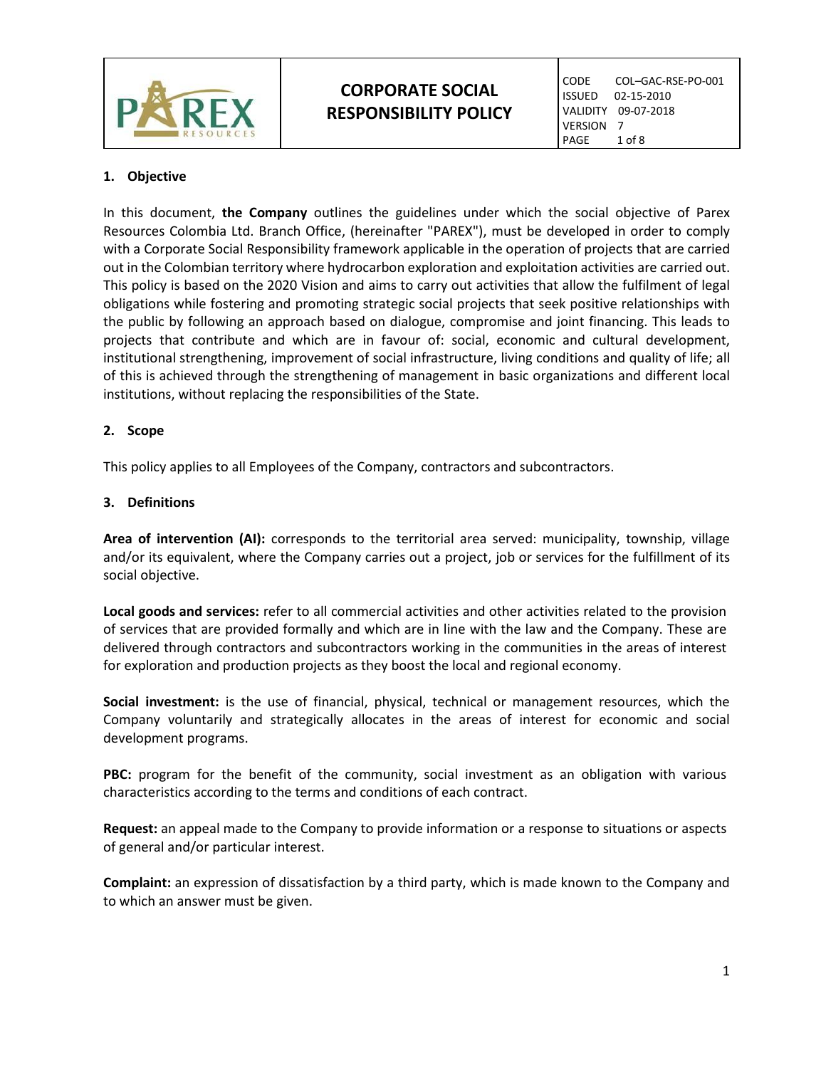

# **CORPORATE SOCIAL RESPONSIBILITY POLICY**

CODE COL–GAC-RSE-PO-001<br>ISSUED 02-15-2010 02-15-2010 VALIDITY 09-07-2018 VERSION 7<br>PAGE 1  $1$  of  $8$ 

# **1. Objective**

In this document, **the Company** outlines the guidelines under which the social objective of Parex Resources Colombia Ltd. Branch Office, (hereinafter "PAREX"), must be developed in order to comply with a Corporate Social Responsibility framework applicable in the operation of projects that are carried out in the Colombian territory where hydrocarbon exploration and exploitation activities are carried out. This policy is based on the 2020 Vision and aims to carry out activities that allow the fulfilment of legal obligations while fostering and promoting strategic social projects that seek positive relationships with the public by following an approach based on dialogue, compromise and joint financing. This leads to projects that contribute and which are in favour of: social, economic and cultural development, institutional strengthening, improvement of social infrastructure, living conditions and quality of life; all of this is achieved through the strengthening of management in basic organizations and different local institutions, without replacing the responsibilities of the State.

# **2. Scope**

This policy applies to all Employees of the Company, contractors and subcontractors.

## **3. Definitions**

**Area of intervention (AI):** corresponds to the territorial area served: municipality, township, village and/or its equivalent, where the Company carries out a project, job or services for the fulfillment of its social objective.

**Local goods and services:** refer to all commercial activities and other activities related to the provision of services that are provided formally and which are in line with the law and the Company. These are delivered through contractors and subcontractors working in the communities in the areas of interest for exploration and production projects as they boost the local and regional economy.

**Social investment:** is the use of financial, physical, technical or management resources, which the Company voluntarily and strategically allocates in the areas of interest for economic and social development programs.

**PBC:** program for the benefit of the community, social investment as an obligation with various characteristics according to the terms and conditions of each contract.

**Request:** an appeal made to the Company to provide information or a response to situations or aspects of general and/or particular interest.

**Complaint:** an expression of dissatisfaction by a third party, which is made known to the Company and to which an answer must be given.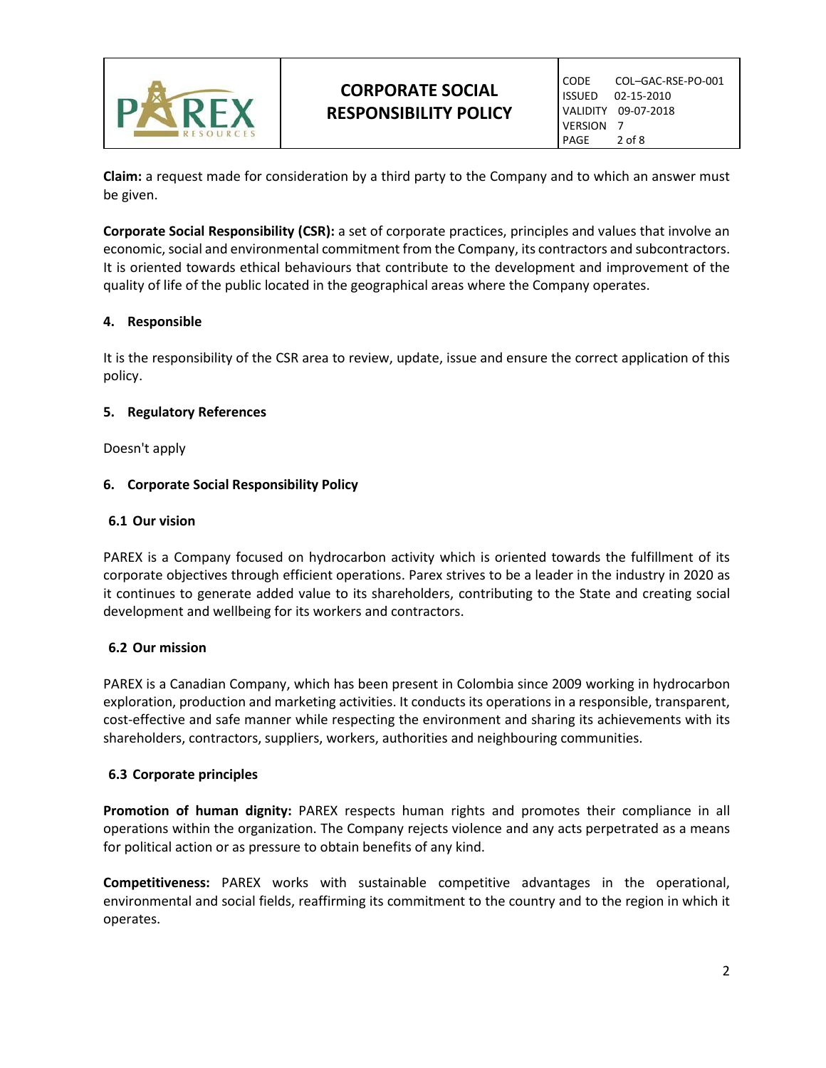

**Claim:** a request made for consideration by a third party to the Company and to which an answer must be given.

**Corporate Social Responsibility (CSR):** a set of corporate practices, principles and values that involve an economic, social and environmental commitment from the Company, its contractors and subcontractors. It is oriented towards ethical behaviours that contribute to the development and improvement of the quality of life of the public located in the geographical areas where the Company operates.

# **4. Responsible**

It is the responsibility of the CSR area to review, update, issue and ensure the correct application of this policy.

# **5. Regulatory References**

Doesn't apply

# **6. Corporate Social Responsibility Policy**

## **6.1 Our vision**

PAREX is a Company focused on hydrocarbon activity which is oriented towards the fulfillment of its corporate objectives through efficient operations. Parex strives to be a leader in the industry in 2020 as it continues to generate added value to its shareholders, contributing to the State and creating social development and wellbeing for its workers and contractors.

# **6.2 Our mission**

PAREX is a Canadian Company, which has been present in Colombia since 2009 working in hydrocarbon exploration, production and marketing activities. It conducts its operations in a responsible, transparent, cost-effective and safe manner while respecting the environment and sharing its achievements with its shareholders, contractors, suppliers, workers, authorities and neighbouring communities.

# **6.3 Corporate principles**

**Promotion of human dignity:** PAREX respects human rights and promotes their compliance in all operations within the organization. The Company rejects violence and any acts perpetrated as a means for political action or as pressure to obtain benefits of any kind.

**Competitiveness:** PAREX works with sustainable competitive advantages in the operational, environmental and social fields, reaffirming its commitment to the country and to the region in which it operates.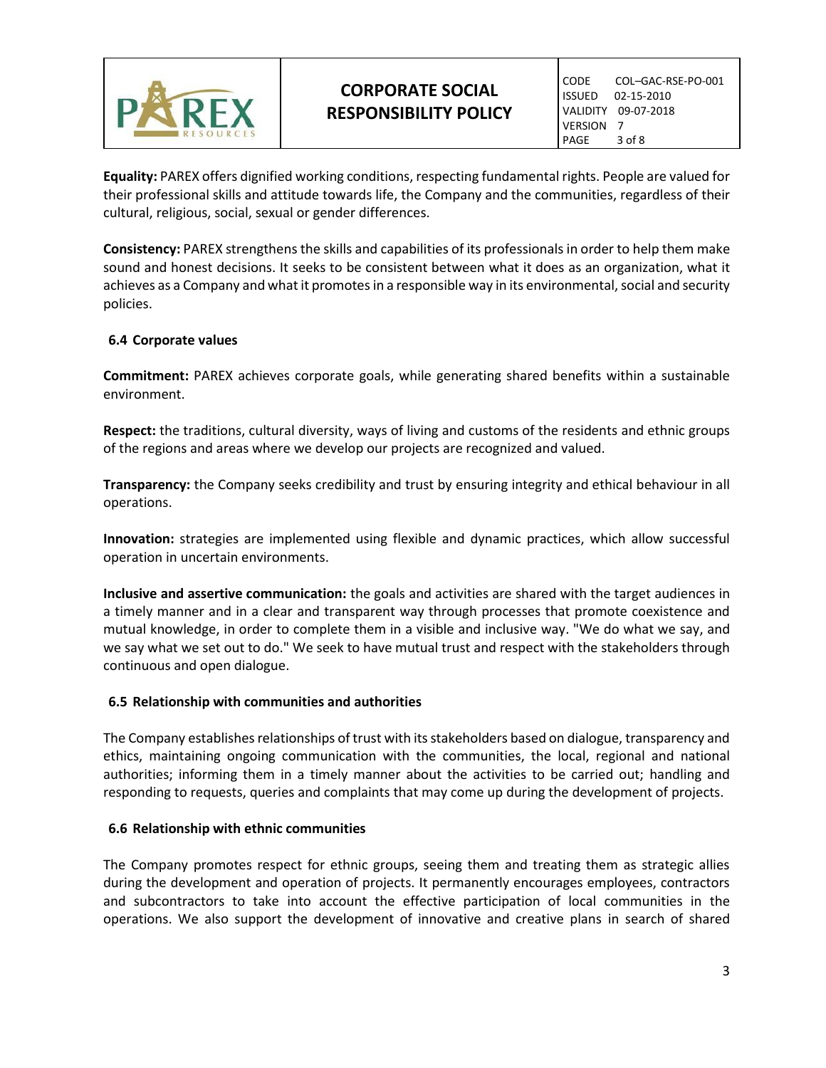

**Equality:** PAREX offers dignified working conditions, respecting fundamental rights. People are valued for their professional skills and attitude towards life, the Company and the communities, regardless of their cultural, religious, social, sexual or gender differences.

**Consistency:** PAREX strengthens the skills and capabilities of its professionals in order to help them make sound and honest decisions. It seeks to be consistent between what it does as an organization, what it achieves as a Company and what it promotes in a responsible way in its environmental, social and security policies.

## **6.4 Corporate values**

**Commitment:** PAREX achieves corporate goals, while generating shared benefits within a sustainable environment.

**Respect:** the traditions, cultural diversity, ways of living and customs of the residents and ethnic groups of the regions and areas where we develop our projects are recognized and valued.

**Transparency:** the Company seeks credibility and trust by ensuring integrity and ethical behaviour in all operations.

**Innovation:** strategies are implemented using flexible and dynamic practices, which allow successful operation in uncertain environments.

**Inclusive and assertive communication:** the goals and activities are shared with the target audiences in a timely manner and in a clear and transparent way through processes that promote coexistence and mutual knowledge, in order to complete them in a visible and inclusive way. "We do what we say, and we say what we set out to do." We seek to have mutual trust and respect with the stakeholders through continuous and open dialogue.

#### **6.5 Relationship with communities and authorities**

The Company establishes relationships of trust with its stakeholders based on dialogue, transparency and ethics, maintaining ongoing communication with the communities, the local, regional and national authorities; informing them in a timely manner about the activities to be carried out; handling and responding to requests, queries and complaints that may come up during the development of projects.

#### **6.6 Relationship with ethnic communities**

The Company promotes respect for ethnic groups, seeing them and treating them as strategic allies during the development and operation of projects. It permanently encourages employees, contractors and subcontractors to take into account the effective participation of local communities in the operations. We also support the development of innovative and creative plans in search of shared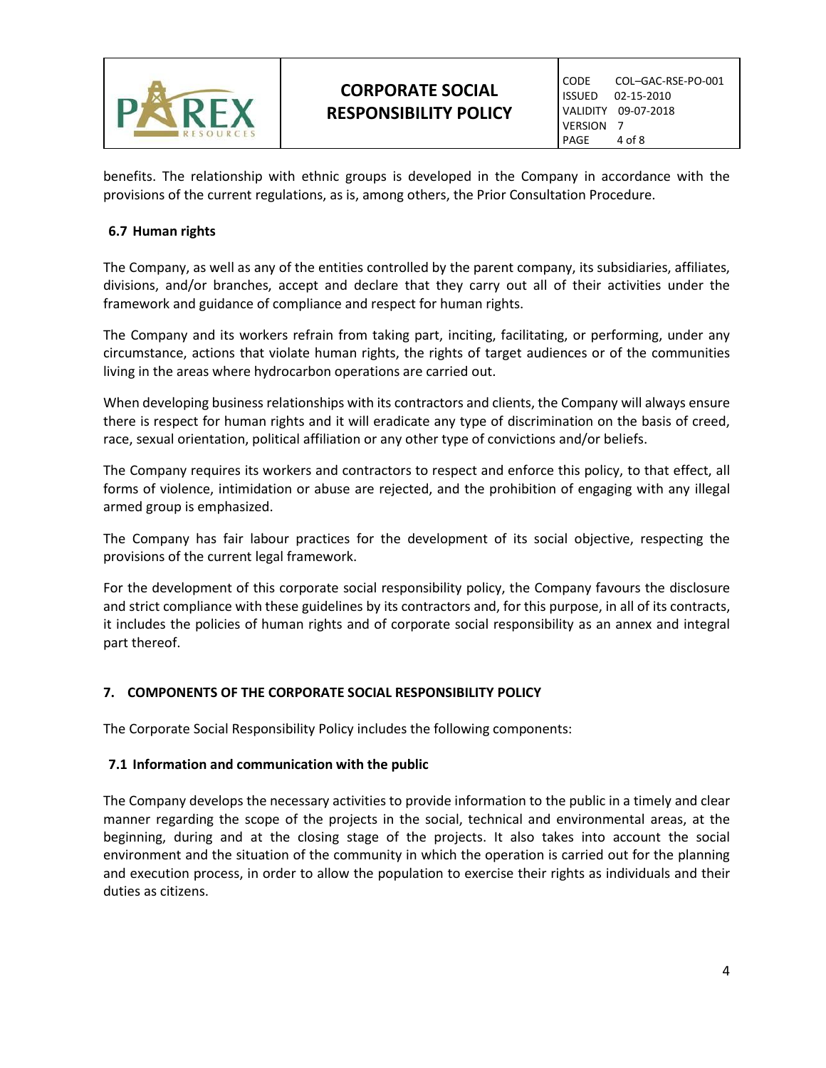

benefits. The relationship with ethnic groups is developed in the Company in accordance with the provisions of the current regulations, as is, among others, the Prior Consultation Procedure.

## **6.7 Human rights**

The Company, as well as any of the entities controlled by the parent company, its subsidiaries, affiliates, divisions, and/or branches, accept and declare that they carry out all of their activities under the framework and guidance of compliance and respect for human rights.

The Company and its workers refrain from taking part, inciting, facilitating, or performing, under any circumstance, actions that violate human rights, the rights of target audiences or of the communities living in the areas where hydrocarbon operations are carried out.

When developing business relationships with its contractors and clients, the Company will always ensure there is respect for human rights and it will eradicate any type of discrimination on the basis of creed, race, sexual orientation, political affiliation or any other type of convictions and/or beliefs.

The Company requires its workers and contractors to respect and enforce this policy, to that effect, all forms of violence, intimidation or abuse are rejected, and the prohibition of engaging with any illegal armed group is emphasized.

The Company has fair labour practices for the development of its social objective, respecting the provisions of the current legal framework.

For the development of this corporate social responsibility policy, the Company favours the disclosure and strict compliance with these guidelines by its contractors and, for this purpose, in all of its contracts, it includes the policies of human rights and of corporate social responsibility as an annex and integral part thereof.

# **7. COMPONENTS OF THE CORPORATE SOCIAL RESPONSIBILITY POLICY**

The Corporate Social Responsibility Policy includes the following components:

#### **7.1 Information and communication with the public**

The Company develops the necessary activities to provide information to the public in a timely and clear manner regarding the scope of the projects in the social, technical and environmental areas, at the beginning, during and at the closing stage of the projects. It also takes into account the social environment and the situation of the community in which the operation is carried out for the planning and execution process, in order to allow the population to exercise their rights as individuals and their duties as citizens.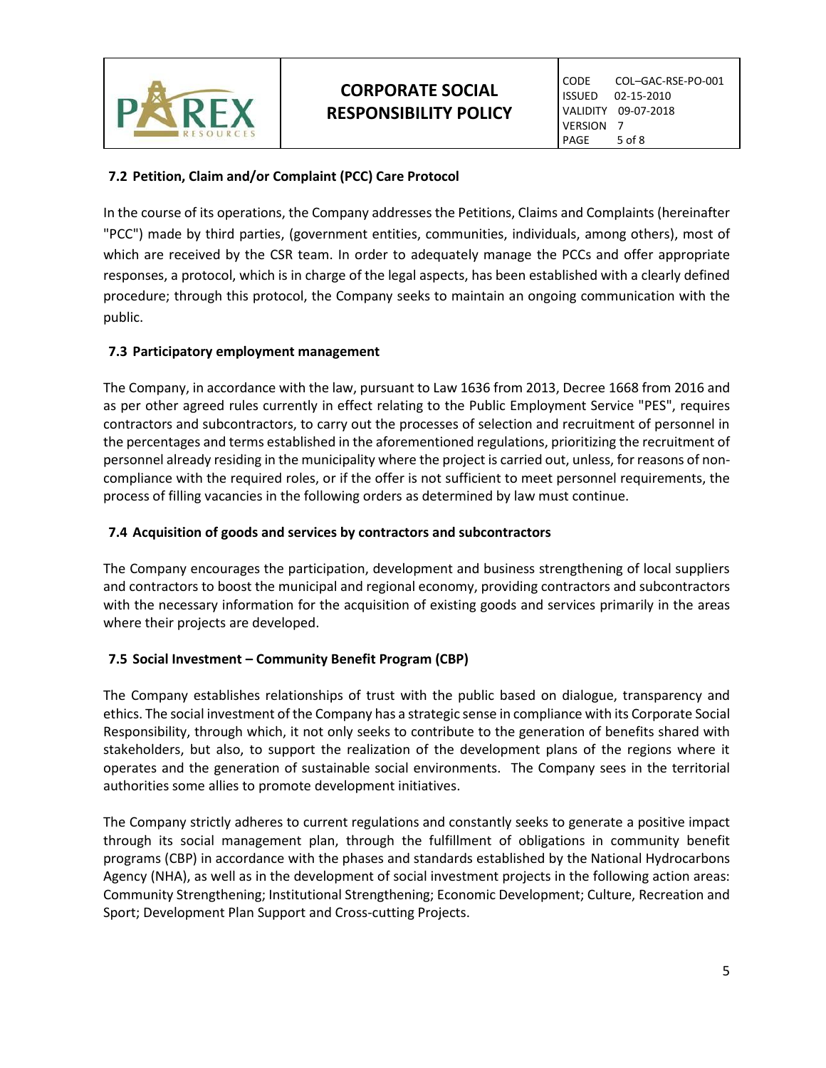

# **7.2 Petition, Claim and/or Complaint (PCC) Care Protocol**

In the course of its operations, the Company addresses the Petitions, Claims and Complaints (hereinafter "PCC") made by third parties, (government entities, communities, individuals, among others), most of which are received by the CSR team. In order to adequately manage the PCCs and offer appropriate responses, a protocol, which is in charge of the legal aspects, has been established with a clearly defined procedure; through this protocol, the Company seeks to maintain an ongoing communication with the public.

# **7.3 Participatory employment management**

The Company, in accordance with the law, pursuant to Law 1636 from 2013, Decree 1668 from 2016 and as per other agreed rules currently in effect relating to the Public Employment Service "PES", requires contractors and subcontractors, to carry out the processes of selection and recruitment of personnel in the percentages and terms established in the aforementioned regulations, prioritizing the recruitment of personnel already residing in the municipality where the project is carried out, unless, for reasons of noncompliance with the required roles, or if the offer is not sufficient to meet personnel requirements, the process of filling vacancies in the following orders as determined by law must continue.

#### **7.4 Acquisition of goods and services by contractors and subcontractors**

The Company encourages the participation, development and business strengthening of local suppliers and contractors to boost the municipal and regional economy, providing contractors and subcontractors with the necessary information for the acquisition of existing goods and services primarily in the areas where their projects are developed.

#### **7.5 Social Investment – Community Benefit Program (CBP)**

The Company establishes relationships of trust with the public based on dialogue, transparency and ethics. The social investment of the Company has a strategic sense in compliance with its Corporate Social Responsibility, through which, it not only seeks to contribute to the generation of benefits shared with stakeholders, but also, to support the realization of the development plans of the regions where it operates and the generation of sustainable social environments. The Company sees in the territorial authorities some allies to promote development initiatives.

The Company strictly adheres to current regulations and constantly seeks to generate a positive impact through its social management plan, through the fulfillment of obligations in community benefit programs (CBP) in accordance with the phases and standards established by the National Hydrocarbons Agency (NHA), as well as in the development of social investment projects in the following action areas: Community Strengthening; Institutional Strengthening; Economic Development; Culture, Recreation and Sport; Development Plan Support and Cross-cutting Projects.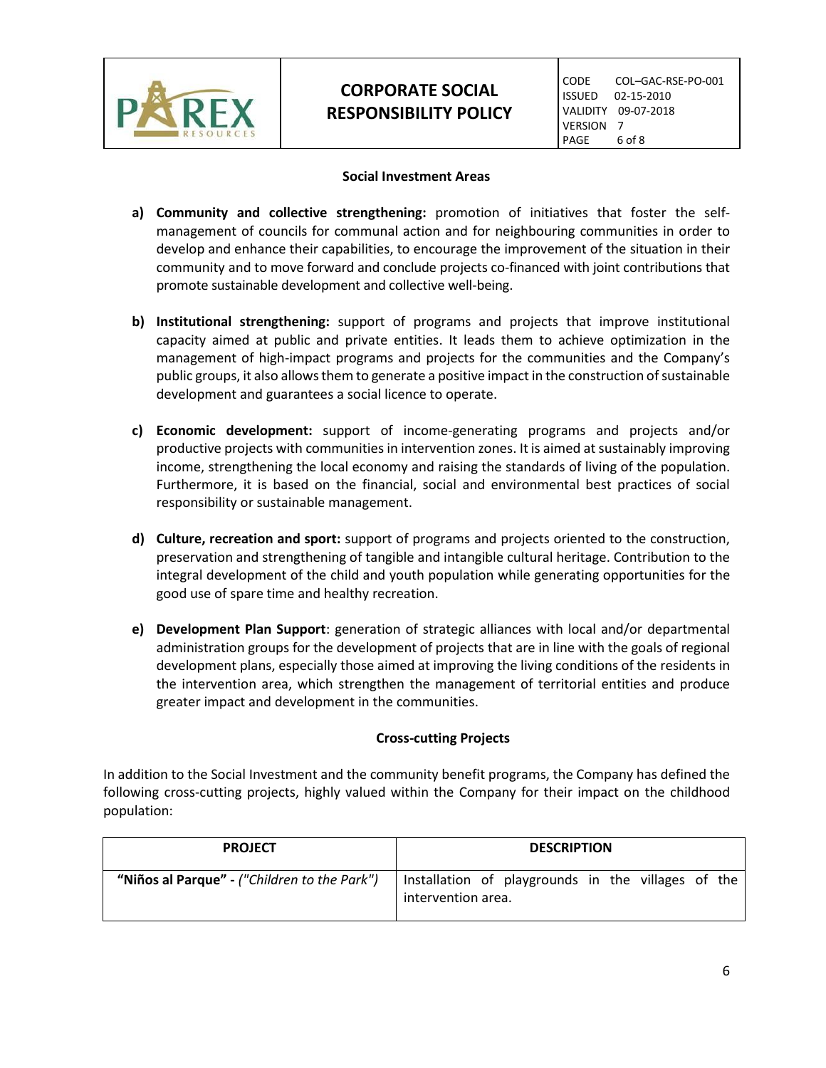

# **CORPORATE SOCIAL RESPONSIBILITY POLICY**

## **Social Investment Areas**

- **a) Community and collective strengthening:** promotion of initiatives that foster the selfmanagement of councils for communal action and for neighbouring communities in order to develop and enhance their capabilities, to encourage the improvement of the situation in their community and to move forward and conclude projects co-financed with joint contributions that promote sustainable development and collective well-being.
- **b) Institutional strengthening:** support of programs and projects that improve institutional capacity aimed at public and private entities. It leads them to achieve optimization in the management of high-impact programs and projects for the communities and the Company's public groups, it also allowsthem to generate a positive impact in the construction of sustainable development and guarantees a social licence to operate.
- **c) Economic development:** support of income-generating programs and projects and/or productive projects with communities in intervention zones. It is aimed at sustainably improving income, strengthening the local economy and raising the standards of living of the population. Furthermore, it is based on the financial, social and environmental best practices of social responsibility or sustainable management.
- **d) Culture, recreation and sport:** support of programs and projects oriented to the construction, preservation and strengthening of tangible and intangible cultural heritage. Contribution to the integral development of the child and youth population while generating opportunities for the good use of spare time and healthy recreation.
- **e) Development Plan Support**: generation of strategic alliances with local and/or departmental administration groups for the development of projects that are in line with the goals of regional development plans, especially those aimed at improving the living conditions of the residents in the intervention area, which strengthen the management of territorial entities and produce greater impact and development in the communities.

# **Cross-cutting Projects**

In addition to the Social Investment and the community benefit programs, the Company has defined the following cross-cutting projects, highly valued within the Company for their impact on the childhood population:

| <b>PROJECT</b>                               | <b>DESCRIPTION</b>                                                       |  |
|----------------------------------------------|--------------------------------------------------------------------------|--|
| "Niños al Parque" - ("Children to the Park") | Installation of playgrounds in the villages of the<br>intervention area. |  |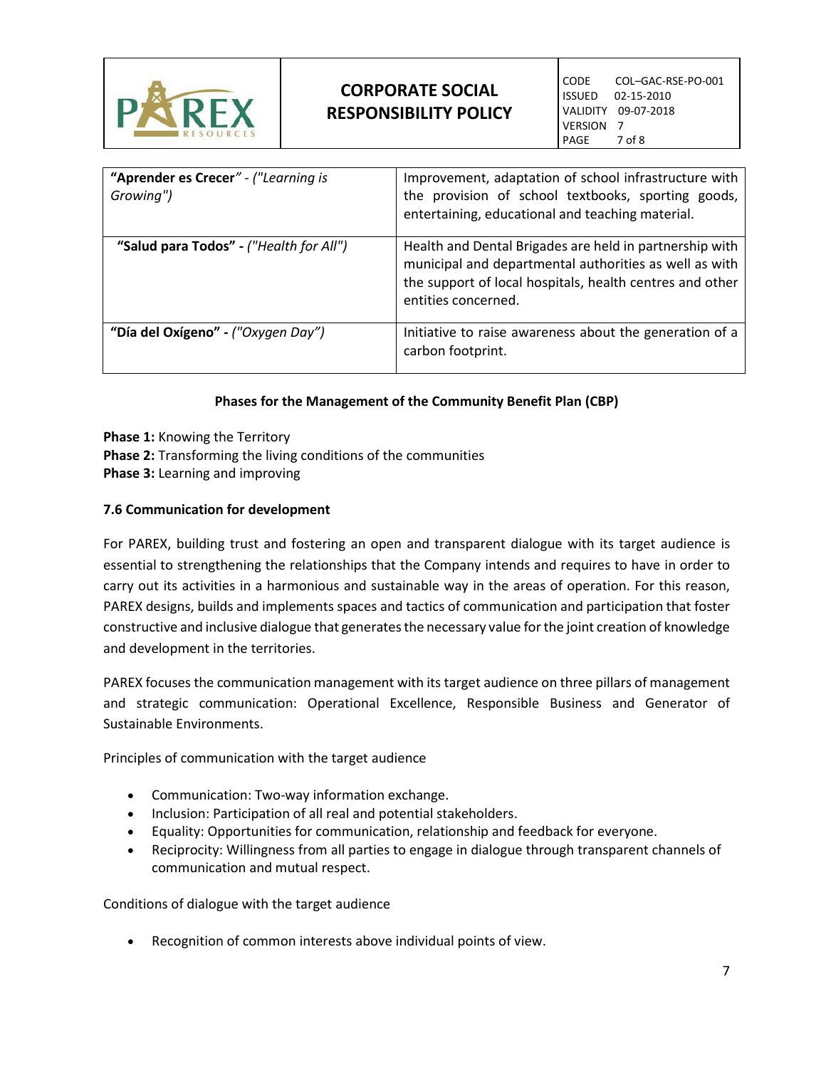

| "Aprender es Crecer" - ("Learning is<br>Growing") | Improvement, adaptation of school infrastructure with<br>the provision of school textbooks, sporting goods,<br>entertaining, educational and teaching material.                                      |
|---------------------------------------------------|------------------------------------------------------------------------------------------------------------------------------------------------------------------------------------------------------|
| "Salud para Todos" - ("Health for All")           | Health and Dental Brigades are held in partnership with<br>municipal and departmental authorities as well as with<br>the support of local hospitals, health centres and other<br>entities concerned. |
| "Día del Oxígeno" - ("Oxygen Day")                | Initiative to raise awareness about the generation of a<br>carbon footprint.                                                                                                                         |

## **Phases for the Management of the Community Benefit Plan (CBP)**

**Phase 1:** Knowing the Territory **Phase 2:** Transforming the living conditions of the communities **Phase 3:** Learning and improving

## **7.6 Communication for development**

For PAREX, building trust and fostering an open and transparent dialogue with its target audience is essential to strengthening the relationships that the Company intends and requires to have in order to carry out its activities in a harmonious and sustainable way in the areas of operation. For this reason, PAREX designs, builds and implements spaces and tactics of communication and participation that foster constructive and inclusive dialogue that generates the necessary value for the joint creation of knowledge and development in the territories.

PAREX focuses the communication management with its target audience on three pillars of management and strategic communication: Operational Excellence, Responsible Business and Generator of Sustainable Environments.

Principles of communication with the target audience

- Communication: Two-way information exchange.
- Inclusion: Participation of all real and potential stakeholders.
- Equality: Opportunities for communication, relationship and feedback for everyone.
- Reciprocity: Willingness from all parties to engage in dialogue through transparent channels of communication and mutual respect.

Conditions of dialogue with the target audience

Recognition of common interests above individual points of view.